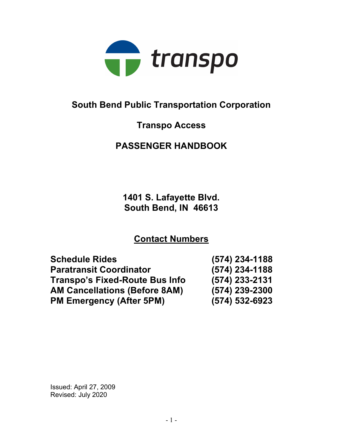

# South Bend Public Transportation Corporation

# Transpo Access

# PASSENGER HANDBOOK

1401 S. Lafayette Blvd. South Bend, IN 46613

# Contact Numbers

| <b>Schedule Rides</b>                 | $(574)$ 234-1188   |
|---------------------------------------|--------------------|
| <b>Paratransit Coordinator</b>        | $(574)$ 234-1188   |
| <b>Transpo's Fixed-Route Bus Info</b> | $(574)$ 233-2131   |
| <b>AM Cancellations (Before 8AM)</b>  | (574) 239-2300     |
| <b>PM Emergency (After 5PM)</b>       | $(574) 532 - 6923$ |

Issued: April 27, 2009 Revised: July 2020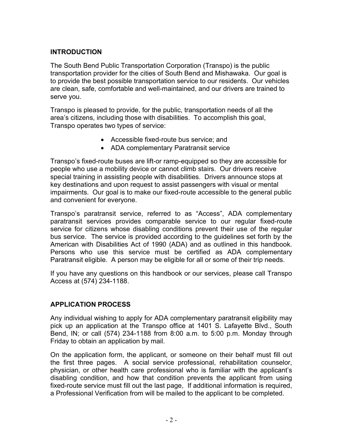## INTRODUCTION

The South Bend Public Transportation Corporation (Transpo) is the public transportation provider for the cities of South Bend and Mishawaka. Our goal is to provide the best possible transportation service to our residents. Our vehicles are clean, safe, comfortable and well-maintained, and our drivers are trained to serve you.

Transpo is pleased to provide, for the public, transportation needs of all the area's citizens, including those with disabilities. To accomplish this goal, Transpo operates two types of service:

- Accessible fixed-route bus service; and
- ADA complementary Paratransit service

Transpo's fixed-route buses are lift-or ramp-equipped so they are accessible for people who use a mobility device or cannot climb stairs. Our drivers receive special training in assisting people with disabilities. Drivers announce stops at key destinations and upon request to assist passengers with visual or mental impairments. Our goal is to make our fixed-route accessible to the general public and convenient for everyone.

Transpo's paratransit service, referred to as "Access", ADA complementary paratransit services provides comparable service to our regular fixed-route service for citizens whose disabling conditions prevent their use of the regular bus service. The service is provided according to the guidelines set forth by the American with Disabilities Act of 1990 (ADA) and as outlined in this handbook. Persons who use this service must be certified as ADA complementary Paratransit eligible. A person may be eligible for all or some of their trip needs.

If you have any questions on this handbook or our services, please call Transpo Access at (574) 234-1188.

## APPLICATION PROCESS

Any individual wishing to apply for ADA complementary paratransit eligibility may pick up an application at the Transpo office at 1401 S. Lafayette Blvd., South Bend, IN; or call (574) 234-1188 from 8:00 a.m. to 5:00 p.m. Monday through Friday to obtain an application by mail.

On the application form, the applicant, or someone on their behalf must fill out the first three pages. A social service professional, rehabilitation counselor, physician, or other health care professional who is familiar with the applicant's disabling condition, and how that condition prevents the applicant from using fixed-route service must fill out the last page, If additional information is required, a Professional Verification from will be mailed to the applicant to be completed.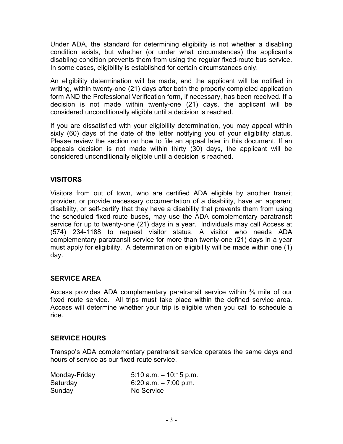Under ADA, the standard for determining eligibility is not whether a disabling condition exists, but whether (or under what circumstances) the applicant's disabling condition prevents them from using the regular fixed-route bus service. In some cases, eligibility is established for certain circumstances only.

An eligibility determination will be made, and the applicant will be notified in writing, within twenty-one (21) days after both the properly completed application form AND the Professional Verification form, if necessary, has been received. If a decision is not made within twenty-one (21) days, the applicant will be considered unconditionally eligible until a decision is reached.

If you are dissatisfied with your eligibility determination, you may appeal within sixty (60) days of the date of the letter notifying you of your eligibility status. Please review the section on how to file an appeal later in this document. If an appeals decision is not made within thirty (30) days, the applicant will be considered unconditionally eligible until a decision is reached.

# VISITORS

Visitors from out of town, who are certified ADA eligible by another transit provider, or provide necessary documentation of a disability, have an apparent disability, or self-certify that they have a disability that prevents them from using the scheduled fixed-route buses, may use the ADA complementary paratransit service for up to twenty-one (21) days in a year. Individuals may call Access at (574) 234-1188 to request visitor status. A visitor who needs ADA complementary paratransit service for more than twenty-one (21) days in a year must apply for eligibility. A determination on eligibility will be made within one (1) day.

# SERVICE AREA

Access provides ADA complementary paratransit service within  $\frac{3}{4}$  mile of our fixed route service. All trips must take place within the defined service area. Access will determine whether your trip is eligible when you call to schedule a ride.

# SERVICE HOURS

Transpo's ADA complementary paratransit service operates the same days and hours of service as our fixed-route service.

| Monday-Friday | $5:10$ a.m. $-10:15$ p.m. |
|---------------|---------------------------|
| Saturday      | 6:20 a.m. $-7:00$ p.m.    |
| Sunday        | No Service                |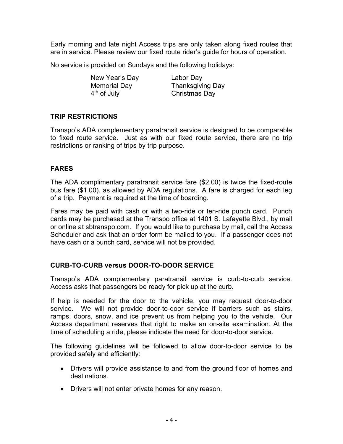Early morning and late night Access trips are only taken along fixed routes that are in service. Please review our fixed route rider's guide for hours of operation.

No service is provided on Sundays and the following holidays:

New Year's Day Labor Day

Memorial Day  $\overline{A}$ <sup>th</sup> of July **Thanksgiving Day** Christmas Day

## TRIP RESTRICTIONS

Transpo's ADA complementary paratransit service is designed to be comparable to fixed route service. Just as with our fixed route service, there are no trip restrictions or ranking of trips by trip purpose.

## FARES

The ADA complimentary paratransit service fare (\$2.00) is twice the fixed-route bus fare (\$1.00), as allowed by ADA regulations. A fare is charged for each leg of a trip. Payment is required at the time of boarding.

Fares may be paid with cash or with a two-ride or ten-ride punch card. Punch cards may be purchased at the Transpo office at 1401 S. Lafayette Blvd., by mail or online at sbtranspo.com. If you would like to purchase by mail, call the Access Scheduler and ask that an order form be mailed to you. If a passenger does not have cash or a punch card, service will not be provided.

## CURB-TO-CURB versus DOOR-TO-DOOR SERVICE

Transpo's ADA complementary paratransit service is curb-to-curb service. Access asks that passengers be ready for pick up at the curb.

If help is needed for the door to the vehicle, you may request door-to-door service. We will not provide door-to-door service if barriers such as stairs, ramps, doors, snow, and ice prevent us from helping you to the vehicle. Our Access department reserves that right to make an on-site examination. At the time of scheduling a ride, please indicate the need for door-to-door service.

The following guidelines will be followed to allow door-to-door service to be provided safely and efficiently:

- Drivers will provide assistance to and from the ground floor of homes and destinations.
- Drivers will not enter private homes for any reason.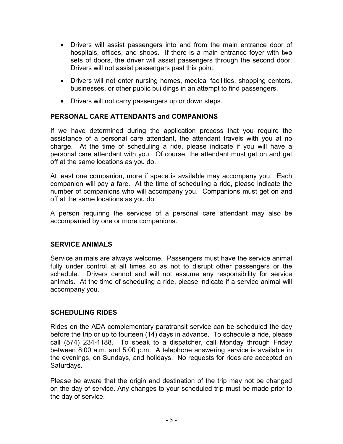- Drivers will assist passengers into and from the main entrance door of hospitals, offices, and shops. If there is a main entrance foyer with two sets of doors, the driver will assist passengers through the second door. Drivers will not assist passengers past this point.
- Drivers will not enter nursing homes, medical facilities, shopping centers, businesses, or other public buildings in an attempt to find passengers.
- Drivers will not carry passengers up or down steps.

## PERSONAL CARE ATTENDANTS and COMPANIONS

If we have determined during the application process that you require the assistance of a personal care attendant, the attendant travels with you at no charge. At the time of scheduling a ride, please indicate if you will have a personal care attendant with you. Of course, the attendant must get on and get off at the same locations as you do.

At least one companion, more if space is available may accompany you. Each companion will pay a fare. At the time of scheduling a ride, please indicate the number of companions who will accompany you. Companions must get on and off at the same locations as you do.

A person requiring the services of a personal care attendant may also be accompanied by one or more companions.

## SERVICE ANIMALS

Service animals are always welcome. Passengers must have the service animal fully under control at all times so as not to disrupt other passengers or the schedule. Drivers cannot and will not assume any responsibility for service animals. At the time of scheduling a ride, please indicate if a service animal will accompany you.

## SCHEDULING RIDES

Rides on the ADA complementary paratransit service can be scheduled the day before the trip or up to fourteen (14) days in advance. To schedule a ride, please call (574) 234-1188. To speak to a dispatcher, call Monday through Friday between 8:00 a.m. and 5:00 p.m. A telephone answering service is available in the evenings, on Sundays, and holidays. No requests for rides are accepted on Saturdays.

Please be aware that the origin and destination of the trip may not be changed on the day of service. Any changes to your scheduled trip must be made prior to the day of service.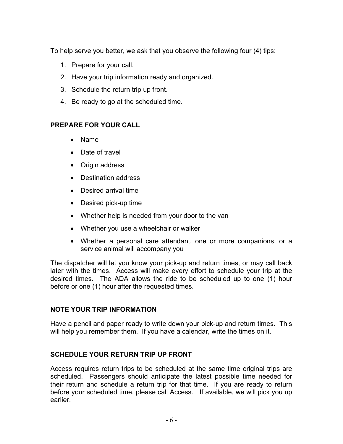To help serve you better, we ask that you observe the following four (4) tips:

- 1. Prepare for your call.
- 2. Have your trip information ready and organized.
- 3. Schedule the return trip up front.
- 4. Be ready to go at the scheduled time.

## PREPARE FOR YOUR CALL

- Name
- Date of travel
- Origin address
- Destination address
- Desired arrival time
- Desired pick-up time
- Whether help is needed from your door to the van
- Whether you use a wheelchair or walker
- Whether a personal care attendant, one or more companions, or a service animal will accompany you

The dispatcher will let you know your pick-up and return times, or may call back later with the times. Access will make every effort to schedule your trip at the desired times. The ADA allows the ride to be scheduled up to one (1) hour before or one (1) hour after the requested times.

# NOTE YOUR TRIP INFORMATION

Have a pencil and paper ready to write down your pick-up and return times. This will help you remember them. If you have a calendar, write the times on it.

# SCHEDULE YOUR RETURN TRIP UP FRONT

Access requires return trips to be scheduled at the same time original trips are scheduled. Passengers should anticipate the latest possible time needed for their return and schedule a return trip for that time. If you are ready to return before your scheduled time, please call Access. If available, we will pick you up earlier.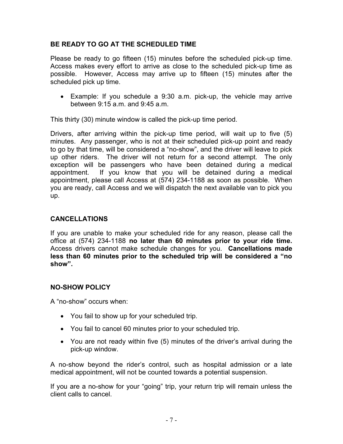## BE READY TO GO AT THE SCHEDULED TIME

Please be ready to go fifteen (15) minutes before the scheduled pick-up time. Access makes every effort to arrive as close to the scheduled pick-up time as possible. However, Access may arrive up to fifteen (15) minutes after the scheduled pick up time.

 Example: If you schedule a 9:30 a.m. pick-up, the vehicle may arrive between 9:15 a.m. and 9:45 a.m.

This thirty (30) minute window is called the pick-up time period.

Drivers, after arriving within the pick-up time period, will wait up to five (5) minutes. Any passenger, who is not at their scheduled pick-up point and ready to go by that time, will be considered a "no-show", and the driver will leave to pick up other riders. The driver will not return for a second attempt. The only exception will be passengers who have been detained during a medical appointment. If you know that you will be detained during a medical appointment, please call Access at (574) 234-1188 as soon as possible. When you are ready, call Access and we will dispatch the next available van to pick you up.

## CANCELLATIONS

If you are unable to make your scheduled ride for any reason, please call the office at (574) 234-1188 no later than 60 minutes prior to your ride time. Access drivers cannot make schedule changes for you. **Cancellations made** less than 60 minutes prior to the scheduled trip will be considered a "no show".

## NO-SHOW POLICY

A "no-show" occurs when:

- You fail to show up for your scheduled trip.
- You fail to cancel 60 minutes prior to your scheduled trip.
- You are not ready within five (5) minutes of the driver's arrival during the pick-up window.

A no-show beyond the rider's control, such as hospital admission or a late medical appointment, will not be counted towards a potential suspension.

If you are a no-show for your "going" trip, your return trip will remain unless the client calls to cancel.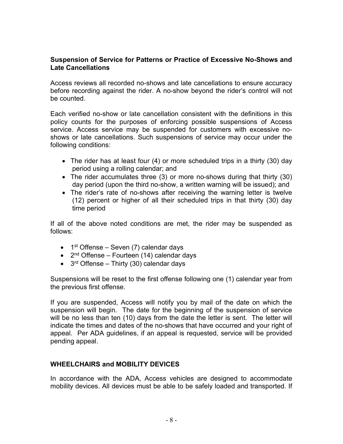#### Suspension of Service for Patterns or Practice of Excessive No-Shows and Late Cancellations

Access reviews all recorded no-shows and late cancellations to ensure accuracy before recording against the rider. A no-show beyond the rider's control will not be counted.

Each verified no-show or late cancellation consistent with the definitions in this policy counts for the purposes of enforcing possible suspensions of Access service. Access service may be suspended for customers with excessive noshows or late cancellations. Such suspensions of service may occur under the following conditions:

- The rider has at least four (4) or more scheduled trips in a thirty (30) day period using a rolling calendar; and
- The rider accumulates three (3) or more no-shows during that thirty (30) day period (upon the third no-show, a written warning will be issued); and
- The rider's rate of no-shows after receiving the warning letter is twelve (12) percent or higher of all their scheduled trips in that thirty (30) day time period

If all of the above noted conditions are met, the rider may be suspended as follows:

- $\bullet$  1<sup>st</sup> Offense Seven (7) calendar days
- $\bullet$  2<sup>nd</sup> Offense Fourteen (14) calendar days
- $\bullet$  3<sup>rd</sup> Offense Thirty (30) calendar days

Suspensions will be reset to the first offense following one (1) calendar year from the previous first offense.

If you are suspended, Access will notify you by mail of the date on which the suspension will begin. The date for the beginning of the suspension of service will be no less than ten (10) days from the date the letter is sent. The letter will indicate the times and dates of the no-shows that have occurred and your right of appeal. Per ADA guidelines, if an appeal is requested, service will be provided pending appeal.

## WHEELCHAIRS and MOBILITY DEVICES

In accordance with the ADA, Access vehicles are designed to accommodate mobility devices. All devices must be able to be safely loaded and transported. If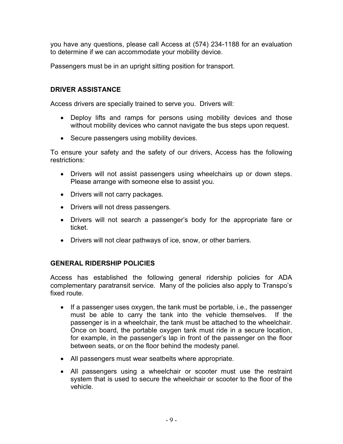you have any questions, please call Access at (574) 234-1188 for an evaluation to determine if we can accommodate your mobility device.

Passengers must be in an upright sitting position for transport.

### DRIVER ASSISTANCE

Access drivers are specially trained to serve you. Drivers will:

- Deploy lifts and ramps for persons using mobility devices and those without mobility devices who cannot navigate the bus steps upon request.
- Secure passengers using mobility devices.

To ensure your safety and the safety of our drivers, Access has the following restrictions:

- Drivers will not assist passengers using wheelchairs up or down steps. Please arrange with someone else to assist you.
- Drivers will not carry packages.
- Drivers will not dress passengers.
- Drivers will not search a passenger's body for the appropriate fare or ticket.
- Drivers will not clear pathways of ice, snow, or other barriers.

## GENERAL RIDERSHIP POLICIES

Access has established the following general ridership policies for ADA complementary paratransit service. Many of the policies also apply to Transpo's fixed route.

- If a passenger uses oxygen, the tank must be portable, i.e., the passenger must be able to carry the tank into the vehicle themselves. If the passenger is in a wheelchair, the tank must be attached to the wheelchair. Once on board, the portable oxygen tank must ride in a secure location, for example, in the passenger's lap in front of the passenger on the floor between seats, or on the floor behind the modesty panel.
- All passengers must wear seatbelts where appropriate.
- All passengers using a wheelchair or scooter must use the restraint system that is used to secure the wheelchair or scooter to the floor of the vehicle.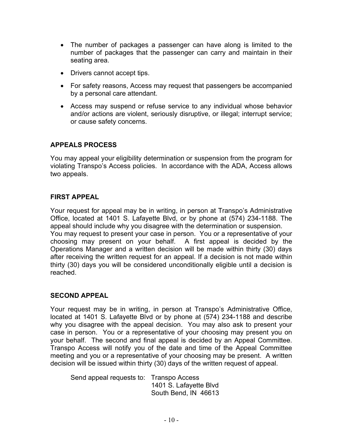- The number of packages a passenger can have along is limited to the number of packages that the passenger can carry and maintain in their seating area.
- Drivers cannot accept tips.
- For safety reasons, Access may request that passengers be accompanied by a personal care attendant.
- Access may suspend or refuse service to any individual whose behavior and/or actions are violent, seriously disruptive, or illegal; interrupt service; or cause safety concerns.

# APPEALS PROCESS

You may appeal your eligibility determination or suspension from the program for violating Transpo's Access policies. In accordance with the ADA, Access allows two appeals.

## FIRST APPEAL

Your request for appeal may be in writing, in person at Transpo's Administrative Office, located at 1401 S. Lafayette Blvd, or by phone at (574) 234-1188. The appeal should include why you disagree with the determination or suspension. You may request to present your case in person. You or a representative of your choosing may present on your behalf. A first appeal is decided by the Operations Manager and a written decision will be made within thirty (30) days after receiving the written request for an appeal. If a decision is not made within thirty (30) days you will be considered unconditionally eligible until a decision is reached.

#### SECOND APPEAL

Your request may be in writing, in person at Transpo's Administrative Office, located at 1401 S. Lafayette Blvd or by phone at (574) 234-1188 and describe why you disagree with the appeal decision. You may also ask to present your case in person. You or a representative of your choosing may present you on your behalf. The second and final appeal is decided by an Appeal Committee. Transpo Access will notify you of the date and time of the Appeal Committee meeting and you or a representative of your choosing may be present. A written decision will be issued within thirty (30) days of the written request of appeal.

Send appeal requests to: Transpo Access 1401 S. Lafayette Blvd South Bend, IN 46613